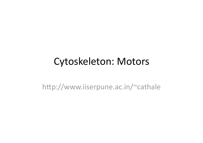#### Cytoskeleton: Motors

http://www.iiserpune.ac.in/~cathale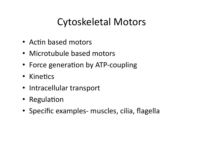## Cytoskeletal Motors

- Actin based motors
- Microtubule based motors
- Force generation by ATP-coupling
- Kinetics
- Intracellular transport
- Regulation
- Specific examples- muscles, cilia, flagella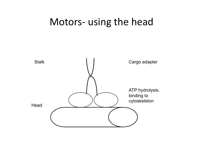#### Motors‐ using the head

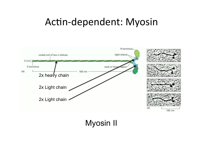## Actin-dependent: Myosin



**Myosin II**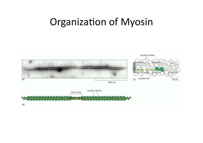## Organization of Myosin

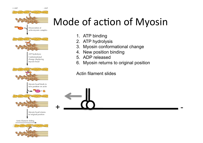

# Mode of action of Myosin

- 1. ATP binding
- 2. ATP hydrolysis
- 3. Myosin conformational change
- 4. New position binding
- 5. ADP released
- 6. Myosin returns to original position

Actin filament slides

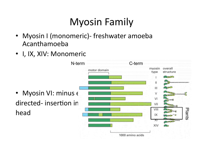# Myosin Family

- Myosin I (monomeric)- freshwater amoeba Acanthamoeba
- I, IX, XIV: Monomeric

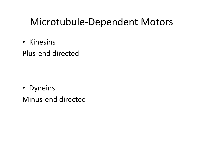## Microtubule‐Dependent Motors

• Kinesins

Plus‐end directed

• Dyneins

Minus‐end directed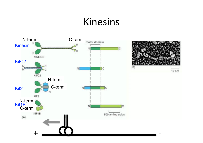## Kinesins

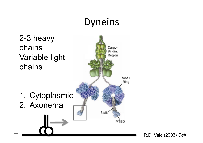## Dyneins

# 2-3 heavy



R.D. Vale (2003) *Cell*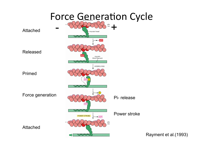

Rayment et al.(1993)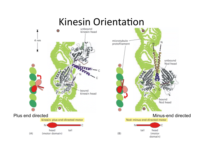